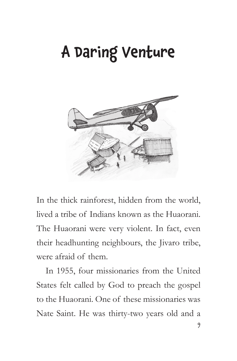## A Daring Venture



In the thick rainforest, hidden from the world, lived a tribe of Indians known as the Huaorani. The Huaorani were very violent. In fact, even their headhunting neighbours, the Jivaro tribe, were afraid of them.

In 1955, four missionaries from the United States felt called by God to preach the gospel to the Huaorani. One of these missionaries was Nate Saint. He was thirty-two years old and a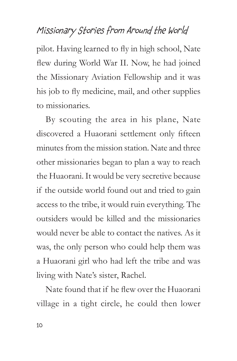pilot. Having learned to fly in high school, Nate flew during World War II. Now, he had joined the Missionary Aviation Fellowship and it was his job to fly medicine, mail, and other supplies to missionaries.

By scouting the area in his plane, Nate discovered a Huaorani settlement only fifteen minutes from the mission station. Nate and three other missionaries began to plan a way to reach the Huaorani. It would be very secretive because if the outside world found out and tried to gain access to the tribe, it would ruin everything. The outsiders would be killed and the missionaries would never be able to contact the natives. As it was, the only person who could help them was a Huaorani girl who had left the tribe and was living with Nate's sister, Rachel.

Nate found that if he flew over the Huaorani village in a tight circle, he could then lower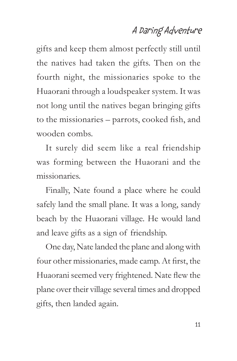### A Daring Adventure

gifts and keep them almost perfectly still until the natives had taken the gifts. Then on the fourth night, the missionaries spoke to the Huaorani through a loudspeaker system. It was not long until the natives began bringing gifts to the missionaries – parrots, cooked fish, and wooden combs.

It surely did seem like a real friendship was forming between the Huaorani and the missionaries.

Finally, Nate found a place where he could safely land the small plane. It was a long, sandy beach by the Huaorani village. He would land and leave gifts as a sign of friendship.

One day, Nate landed the plane and along with four other missionaries, made camp. At first, the Huaorani seemed very frightened. Nate flew the plane over their village several times and dropped gifts, then landed again.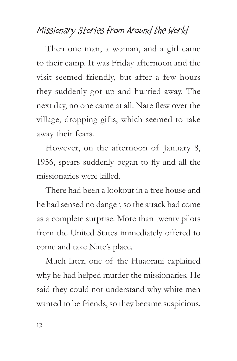Then one man, a woman, and a girl came to their camp. It was Friday afternoon and the visit seemed friendly, but after a few hours they suddenly got up and hurried away. The next day, no one came at all. Nate flew over the village, dropping gifts, which seemed to take away their fears.

However, on the afternoon of January 8, 1956, spears suddenly began to fly and all the missionaries were killed.

There had been a lookout in a tree house and he had sensed no danger, so the attack had come as a complete surprise. More than twenty pilots from the United States immediately offered to come and take Nate's place.

Much later, one of the Huaorani explained why he had helped murder the missionaries. He said they could not understand why white men wanted to be friends, so they became suspicious.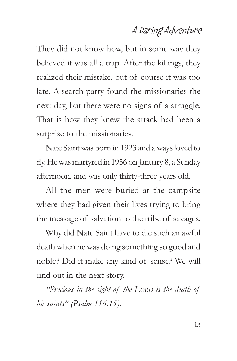#### A Daring Adventure

They did not know how, but in some way they believed it was all a trap. After the killings, they realized their mistake, but of course it was too late. A search party found the missionaries the next day, but there were no signs of a struggle. That is how they knew the attack had been a surprise to the missionaries.

Nate Saint was born in 1923 and always loved to fly. He was martyred in 1956 on January 8, a Sunday afternoon, and was only thirty-three years old.

All the men were buried at the campsite where they had given their lives trying to bring the message of salvation to the tribe of savages.

Why did Nate Saint have to die such an awful death when he was doing something so good and noble? Did it make any kind of sense? We will find out in the next story.

*'Precious in the sight of the LORD is the death of his saints" (Psalm 116:15).*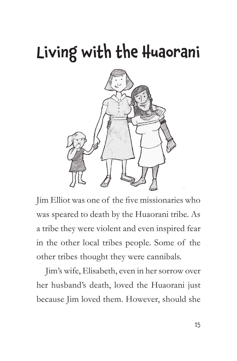

Jim Elliot was one of the five missionaries who was speared to death by the Huaorani tribe. As a tribe they were violent and even inspired fear in the other local tribes people. Some of the other tribes thought they were cannibals.

Jim's wife, Elisabeth, even in her sorrow over her husband's death, loved the Huaorani just because Jim loved them. However, should she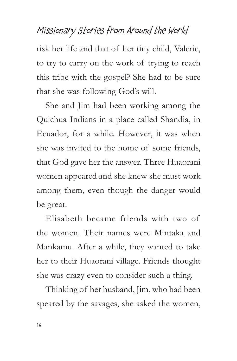risk her life and that of her tiny child, Valerie, to try to carry on the work of trying to reach this tribe with the gospel? She had to be sure that she was following God's will.

She and Jim had been working among the Quichua Indians in a place called Shandia, in Ecuador, for a while. However, it was when she was invited to the home of some friends, that God gave her the answer. Three Huaorani women appeared and she knew she must work among them, even though the danger would be great.

Elisabeth became friends with two of the women. Their names were Mintaka and Mankamu. After a while, they wanted to take her to their Huaorani village. Friends thought she was crazy even to consider such a thing.

Thinking of her husband, Jim, who had been speared by the savages, she asked the women,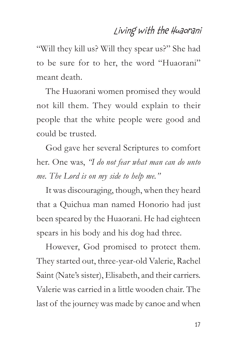"Will they kill us? Will they spear us?" She had to be sure for to her, the word "Huaorani" meant death.

The Huaorani women promised they would not kill them. They would explain to their people that the white people were good and could be trusted.

God gave her several Scriptures to comfort her. One was, *"I do not fear what man can do unto me. The Lord is on my side to help me."*

It was discouraging, though, when they heard that a Quichua man named Honorio had just been speared by the Huaorani. He had eighteen spears in his body and his dog had three.

However, God promised to protect them. They started out, three-year-old Valerie, Rachel Saint (Nate's sister), Elisabeth, and their carriers. Valerie was carried in a little wooden chair. The last of the journey was made by canoe and when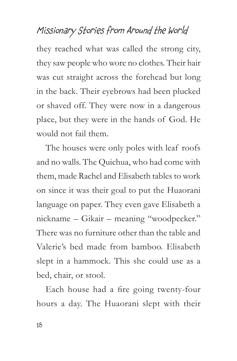they reached what was called the strong city, they saw people who wore no clothes. Their hair was cut straight across the forehead but long in the back. Their eyebrows had been plucked or shaved off. They were now in a dangerous place, but they were in the hands of God. He would not fail them.

The houses were only poles with leaf roofs and no walls. The Quichua, who had come with them, made Rachel and Elisabeth tables to work on since it was their goal to put the Huaorani language on paper. They even gave Elisabeth a nickname – Gikair – meaning "woodpecker." There was no furniture other than the table and Valerie's bed made from bamboo. Elisabeth slept in a hammock. This she could use as a bed, chair, or stool.

Each house had a fire going twenty-four hours a day. The Huaorani slept with their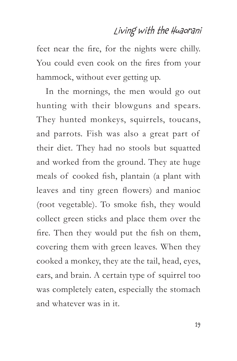feet near the fire, for the nights were chilly. You could even cook on the fires from your hammock, without ever getting up.

In the mornings, the men would go out hunting with their blowguns and spears. They hunted monkeys, squirrels, toucans, and parrots. Fish was also a great part of their diet. They had no stools but squatted and worked from the ground. They ate huge meals of cooked fish, plantain (a plant with leaves and tiny green flowers) and manioc (root vegetable). To smoke fish, they would collect green sticks and place them over the fire. Then they would put the fish on them, covering them with green leaves. When they cooked a monkey, they ate the tail, head, eyes, ears, and brain. A certain type of squirrel too was completely eaten, especially the stomach and whatever was in it.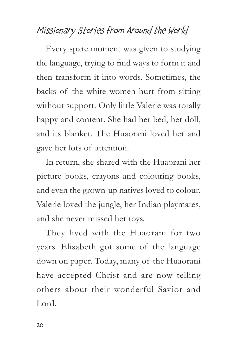Every spare moment was given to studying the language, trying to find ways to form it and then transform it into words. Sometimes, the backs of the white women hurt from sitting without support. Only little Valerie was totally happy and content. She had her bed, her doll, and its blanket. The Huaorani loved her and gave her lots of attention.

In return, she shared with the Huaorani her picture books, crayons and colouring books, and even the grown-up natives loved to colour. Valerie loved the jungle, her Indian playmates, and she never missed her toys.

They lived with the Huaorani for two years. Elisabeth got some of the language down on paper. Today, many of the Huaorani have accepted Christ and are now telling others about their wonderful Savior and Lord.